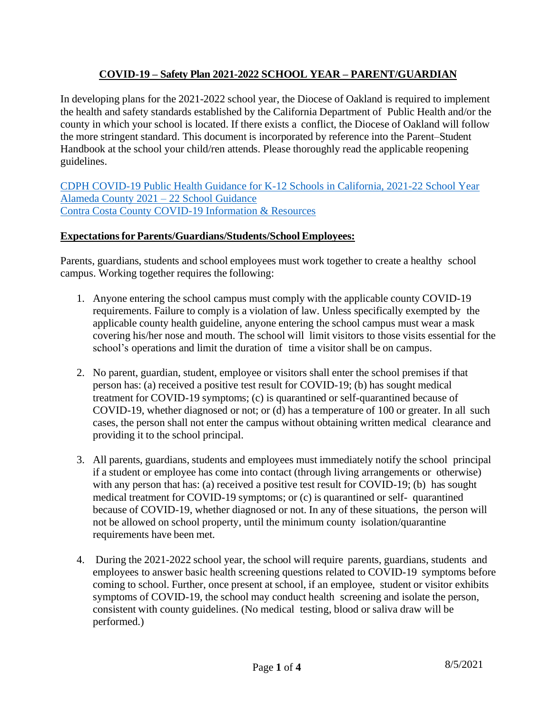# **COVID-19 – Safety Plan 2021-2022 SCHOOL YEAR – PARENT/GUARDIAN**

In developing plans for the 2021-2022 school year, the Diocese of Oakland is required to implement the health and safety standards established by the California Department of Public Health and/or the county in which your school is located. If there exists a conflict, the Diocese of Oakland will follow the more stringent standard. This document is incorporated by reference into the Parent–Student Handbook at the school your child/ren attends. Please thoroughly read the applicable reopening guidelines.

[CDPH COVID-19 Public Health Guidance for K-12 Schools in California, 2021-22 School Year](https://www.cdph.ca.gov/Programs/CID/DCDC/Pages/COVID-19/K-12-Guidance-2021-22-School-Year.aspx) Alameda County 2021 – [22 School Guidance](https://www.acoe.org/schoolguidance) Contra Costa County [COVID-19 Information & Resources](https://www.cccoe.k12.ca.us/news/spotlight/information_about_coronavirus)

## **Expectationsfor Parents/Guardians/Students/School Employees:**

Parents, guardians, students and school employees must work together to create a healthy school campus. Working together requires the following:

- 1. Anyone entering the school campus must comply with the applicable county COVID-19 requirements. Failure to comply is a violation of law. Unless specifically exempted by the applicable county health guideline, anyone entering the school campus must wear a mask covering his/her nose and mouth. The school will limit visitors to those visits essential for the school's operations and limit the duration of time a visitor shall be on campus.
- 2. No parent, guardian, student, employee or visitors shall enter the school premises if that person has: (a) received a positive test result for COVID-19; (b) has sought medical treatment for COVID-19 symptoms; (c) is quarantined or self-quarantined because of COVID-19, whether diagnosed or not; or (d) has a temperature of 100 or greater. In all such cases, the person shall not enter the campus without obtaining written medical clearance and providing it to the school principal.
- 3. All parents, guardians, students and employees must immediately notify the school principal if a student or employee has come into contact (through living arrangements or otherwise) with any person that has: (a) received a positive test result for COVID-19; (b) has sought medical treatment for COVID-19 symptoms; or (c) is quarantined or self- quarantined because of COVID-19, whether diagnosed or not. In any of these situations, the person will not be allowed on school property, until the minimum county isolation/quarantine requirements have been met.
- 4. During the 2021-2022 school year, the school will require parents, guardians, students and employees to answer basic health screening questions related to COVID-19 symptoms before coming to school. Further, once present at school, if an employee, student or visitor exhibits symptoms of COVID-19, the school may conduct health screening and isolate the person, consistent with county guidelines. (No medical testing, blood or saliva draw will be performed.)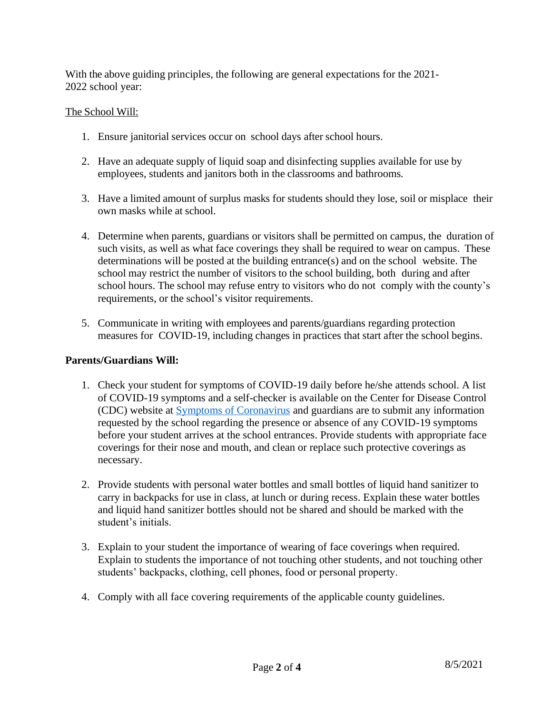With the above guiding principles, the following are general expectations for the 2021- 2022 school year:

#### The School Will:

- 1. Ensure janitorial services occur on school days after school hours.
- 2. Have an adequate supply of liquid soap and disinfecting supplies available for use by employees, students and janitors both in the classrooms and bathrooms.
- 3. Have a limited amount of surplus masks for students should they lose, soil or misplace their own masks while at school.
- 4. Determine when parents, guardians or visitors shall be permitted on campus, the duration of such visits, as well as what face coverings they shall be required to wear on campus. These determinations will be posted at the building entrance(s) and on the school website. The school may restrict the number of visitors to the school building, both during and after school hours. The school may refuse entry to visitors who do not comply with the county's requirements, or the school's visitor requirements.
- 5. Communicate in writing with employees and parents/guardians regarding protection measures for COVID-19, including changes in practices that start after the school begins.

## **Parents/Guardians Will:**

- 1. Check your student for symptoms of COVID-19 daily before he/she attends school. A list of COVID-19 symptoms and a self-checker is available on the Center for Disease Control (CDC) website at [Symptoms of Coronavirus](https://www.cdc.gov/coronavirus/2019-ncov/symptoms-testing/symptoms.html) and guardians are to submit any information requested by the school regarding the presence or absence of any COVID-19 symptoms before your student arrives at the school entrances. Provide students with appropriate face coverings for their nose and mouth, and clean or replace such protective coverings as necessary.
- 2. Provide students with personal water bottles and small bottles of liquid hand sanitizer to carry in backpacks for use in class, at lunch or during recess. Explain these water bottles and liquid hand sanitizer bottles should not be shared and should be marked with the student's initials.
- 3. Explain to your student the importance of wearing of face coverings when required. Explain to students the importance of not touching other students, and not touching other students' backpacks, clothing, cell phones, food or personal property.
- 4. Comply with all face covering requirements of the applicable county guidelines.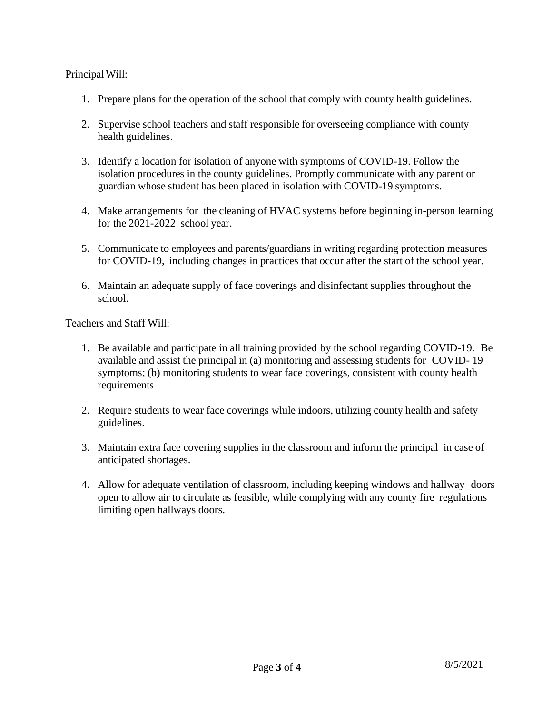## Principal Will:

- 1. Prepare plans for the operation of the school that comply with county health guidelines.
- 2. Supervise school teachers and staff responsible for overseeing compliance with county health guidelines.
- 3. Identify a location for isolation of anyone with symptoms of COVID-19. Follow the isolation procedures in the county guidelines. Promptly communicate with any parent or guardian whose student has been placed in isolation with COVID-19 symptoms.
- 4. Make arrangements for the cleaning of HVAC systems before beginning in-person learning for the 2021-2022 school year.
- 5. Communicate to employees and parents/guardians in writing regarding protection measures for COVID-19, including changes in practices that occur after the start of the school year.
- 6. Maintain an adequate supply of face coverings and disinfectant supplies throughout the school.

#### Teachers and Staff Will:

- 1. Be available and participate in all training provided by the school regarding COVID-19. Be available and assist the principal in (a) monitoring and assessing students for COVID- 19 symptoms; (b) monitoring students to wear face coverings, consistent with county health requirements
- 2. Require students to wear face coverings while indoors, utilizing county health and safety guidelines.
- 3. Maintain extra face covering supplies in the classroom and inform the principal in case of anticipated shortages.
- 4. Allow for adequate ventilation of classroom, including keeping windows and hallway doors open to allow air to circulate as feasible, while complying with any county fire regulations limiting open hallways doors.